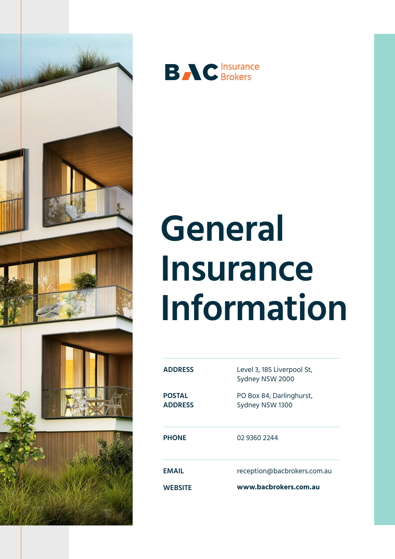



# **General Insurance Information**

| <b>ADDRESS</b>                  | Level 3, 185 Liverpool St,<br>Sydney NSW 2000 |
|---------------------------------|-----------------------------------------------|
| <b>POSTAL</b><br><b>ADDRESS</b> | PO Box 84, Darlinghurst,<br>Sydney NSW 1300   |
| <b>PHONE</b>                    | 02 9360 2244                                  |
| <b>FMAIL</b>                    | reception@bacbrokers.com.au                   |
| <b>WEBSITE</b>                  | www.bacbrokers.com.au                         |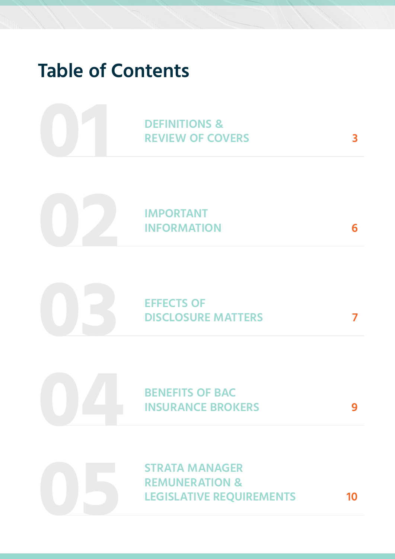# **Table of Contents**



**IMPORTANT INFORMATION**

**6**



**7**

**9**

**BENEFITS OF BAC INSURANCE BROKERS**

**STRATA MANAGER REMUNERATION & LEGISLATIVE REQUIREMENTS**

**10**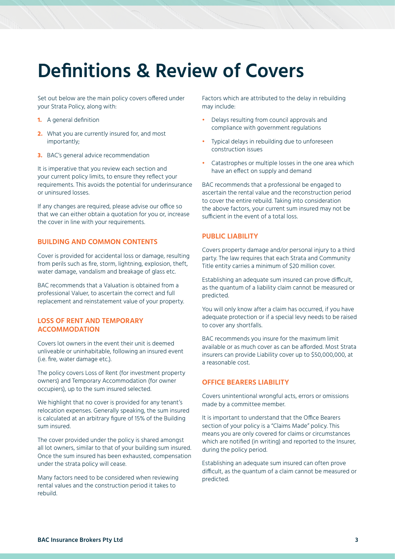### **Definitions & Review of Covers**

Set out below are the main policy covers offered under your Strata Policy, along with:

- **1.** A general definition
- **2.** What you are currently insured for, and most importantly;
- **3.** BAC's general advice recommendation

It is imperative that you review each section and your current policy limits, to ensure they reflect your requirements. This avoids the potential for underinsurance or uninsured losses.

If any changes are required, please advise our office so that we can either obtain a quotation for you or, increase the cover in line with your requirements.

### **BUILDING AND COMMON CONTENTS**

Cover is provided for accidental loss or damage, resulting from perils such as fire, storm, lightning, explosion, theft, water damage, vandalism and breakage of glass etc.

BAC recommends that a Valuation is obtained from a professional Valuer, to ascertain the correct and full replacement and reinstatement value of your property.

### **LOSS OF RENT AND TEMPORARY ACCOMMODATION**

Covers lot owners in the event their unit is deemed unliveable or uninhabitable, following an insured event (i.e. fire, water damage etc.).

The policy covers Loss of Rent (for investment property owners) and Temporary Accommodation (for owner occupiers), up to the sum insured selected.

We highlight that no cover is provided for any tenant's relocation expenses. Generally speaking, the sum insured is calculated at an arbitrary figure of 15% of the Building sum insured.

The cover provided under the policy is shared amongst all lot owners, similar to that of your building sum insured. Once the sum insured has been exhausted, compensation under the strata policy will cease.

Many factors need to be considered when reviewing rental values and the construction period it takes to rebuild.

Factors which are attributed to the delay in rebuilding may include:

- **•** Delays resulting from council approvals and compliance with government regulations
- **•** Typical delays in rebuilding due to unforeseen construction issues
- **•** Catastrophes or multiple losses in the one area which have an effect on supply and demand

BAC recommends that a professional be engaged to ascertain the rental value and the reconstruction period to cover the entire rebuild. Taking into consideration the above factors, your current sum insured may not be sufficient in the event of a total loss.

### **PUBLIC LIABILITY**

Covers property damage and/or personal injury to a third party. The law requires that each Strata and Community Title entity carries a minimum of \$20 million cover.

Establishing an adequate sum insured can prove difficult, as the quantum of a liability claim cannot be measured or predicted.

You will only know after a claim has occurred, if you have adequate protection or if a special levy needs to be raised to cover any shortfalls.

BAC recommends you insure for the maximum limit available or as much cover as can be afforded. Most Strata insurers can provide Liability cover up to \$50,000,000, at a reasonable cost.

### **OFFICE BEARERS LIABILITY**

Covers unintentional wrongful acts, errors or omissions made by a committee member.

It is important to understand that the Office Bearers section of your policy is a "Claims Made" policy. This means you are only covered for claims or circumstances which are notified (in writing) and reported to the Insurer, during the policy period.

Establishing an adequate sum insured can often prove difficult, as the quantum of a claim cannot be measured or predicted.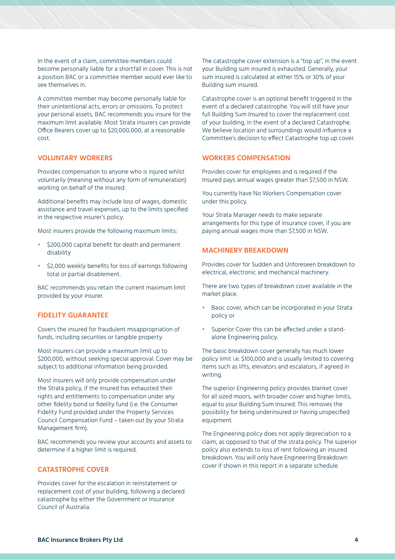In the event of a claim, committee members could become personally liable for a shortfall in cover. This is not a position BAC or a committee member would ever like to see themselves in.

A committee member may become personally liable for their unintentional acts, errors or omissions. To protect your personal assets, BAC recommends you insure for the maximum limit available. Most Strata insurers can provide Office Bearers cover up to \$20,000,000, at a reasonable cost.

### **VOLUNTARY WORKERS**

Provides compensation to anyone who is injured whilst voluntarily (meaning without any form of remuneration) working on behalf of the insured.

Additional benefits may include loss of wages, domestic assistance and travel expenses, up to the limits specified in the respective insurer's policy.

Most insurers provide the following maximum limits:

- **•** \$200,000 capital benefit for death and permanent disability
- **•** \$2,000 weekly benefits for loss of earnings following total or partial disablement.

BAC recommends you retain the current maximum limit provided by your insurer.

### **FIDELITY GUARANTEE**

Covers the insured for fraudulent misappropriation of funds, including securities or tangible property.

Most insurers can provide a maximum limit up to \$200,000, without seeking special approval. Cover may be subject to additional information being provided.

Most insurers will only provide compensation under the Strata policy, if the insured has exhausted their rights and entitlements to compensation under any other fidelity bond or fidelity fund (i.e. the Consumer Fidelity Fund provided under the Property Services Council Compensation Fund – taken out by your Strata Management firm).

BAC recommends you review your accounts and assets to determine if a higher limit is required.

### **CATASTROPHE COVER**

Provides cover for the escalation in reinstatement or replacement cost of your building, following a declared catastrophe by either the Government or Insurance Council of Australia.

The catastrophe cover extension is a "top up", in the event your Building sum insured is exhausted. Generally, your sum insured is calculated at either 15% or 30% of your Building sum insured.

Catastrophe cover is an optional benefit triggered in the event of a declared catastrophe. You will still have your full Building Sum Insured to cover the replacement cost of your building, in the event of a declared Catastrophe. We believe location and surroundings would influence a Committee's decision to effect Catastrophe top up cover.

### **WORKERS COMPENSATION**

Provides cover for employees and is required if the Insured pays annual wages greater than \$7,500 in NSW.

You currently have No Workers Compensation cover under this policy.

Your Strata Manager needs to make separate arrangements for this type of insurance cover, if you are paying annual wages more than \$7,500 in NSW.

### **MACHINERY BREAKDOWN**

Provides cover for Sudden and Unforeseen breakdown to electrical, electronic and mechanical machinery.

There are two types of breakdown cover available in the market place.

- **•** Basic cover, which can be incorporated in your Strata policy or
- **•** Superior Cover this can be affected under a standalone Engineering policy.

The basic breakdown cover generally has much lower policy limit i.e. \$100,000 and is usually limited to covering items such as lifts, elevators and escalators, if agreed in writing.

The superior Engineering policy provides blanket cover for all sized moors, with broader cover and higher limits, equal to your Building Sum Insured. This removes the possibility for being underinsured or having unspecified equipment.

The Engineering policy does not apply depreciation to a claim, as opposed to that of the strata policy. The superior policy also extends to loss of rent following an insured breakdown. You will only have Engineering Breakdown cover if shown in this report in a separate schedule.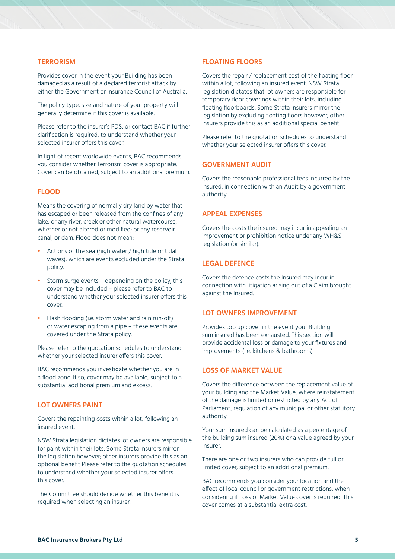#### **TERRORISM**

Provides cover in the event your Building has been damaged as a result of a declared terrorist attack by either the Government or Insurance Council of Australia.

The policy type, size and nature of your property will generally determine if this cover is available.

Please refer to the insurer's PDS, or contact BAC if further clarification is required, to understand whether your selected insurer offers this cover.

In light of recent worldwide events, BAC recommends you consider whether Terrorism cover is appropriate. Cover can be obtained, subject to an additional premium.

### **FLOOD**

Means the covering of normally dry land by water that has escaped or been released from the confines of any lake, or any river, creek or other natural watercourse, whether or not altered or modified; or any reservoir, canal, or dam. Flood does not mean:

- **•** Actions of the sea (high water / high tide or tidal waves), which are events excluded under the Strata policy.
- **•** Storm surge events depending on the policy, this cover may be included – please refer to BAC to understand whether your selected insurer offers this cover.
- **•** Flash flooding (i.e. storm water and rain run-off) or water escaping from a pipe – these events are covered under the Strata policy.

Please refer to the quotation schedules to understand whether your selected insurer offers this cover.

BAC recommends you investigate whether you are in a flood zone. If so, cover may be available, subject to a substantial additional premium and excess.

### **LOT OWNERS PAINT**

Covers the repainting costs within a lot, following an insured event.

NSW Strata legislation dictates lot owners are responsible for paint within their lots. Some Strata insurers mirror the legislation however; other insurers provide this as an optional benefit Please refer to the quotation schedules to understand whether your selected insurer offers this cover.

The Committee should decide whether this benefit is required when selecting an insurer.

### **FLOATING FLOORS**

Covers the repair / replacement cost of the floating floor within a lot, following an insured event. NSW Strata legislation dictates that lot owners are responsible for temporary floor coverings within their lots, including floating floorboards. Some Strata insurers mirror the legislation by excluding floating floors however; other insurers provide this as an additional special benefit.

Please refer to the quotation schedules to understand whether your selected insurer offers this cover.

### **GOVERNMENT AUDIT**

Covers the reasonable professional fees incurred by the insured, in connection with an Audit by a government authority.

### **APPEAL EXPENSES**

Covers the costs the insured may incur in appealing an improvement or prohibition notice under any WH&S legislation (or similar).

### **LEGAL DEFENCE**

Covers the defence costs the Insured may incur in connection with litigation arising out of a Claim brought against the Insured.

#### **LOT OWNERS IMPROVEMENT**

Provides top up cover in the event your Building sum insured has been exhausted. This section will provide accidental loss or damage to your fixtures and improvements (i.e. kitchens & bathrooms).

### **LOSS OF MARKET VALUE**

Covers the difference between the replacement value of your building and the Market Value, where reinstatement of the damage is limited or restricted by any Act of Parliament, regulation of any municipal or other statutory authority.

Your sum insured can be calculated as a percentage of the building sum insured (20%) or a value agreed by your Insurer.

There are one or two insurers who can provide full or limited cover, subject to an additional premium.

BAC recommends you consider your location and the effect of local council or government restrictions, when considering if Loss of Market Value cover is required. This cover comes at a substantial extra cost.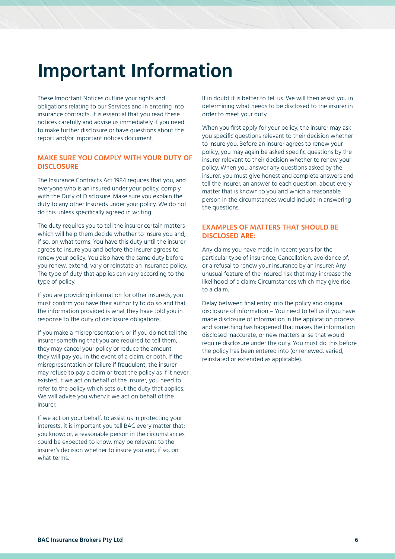## **Important Information**

These Important Notices outline your rights and obligations relating to our Services and in entering into insurance contracts. It is essential that you read these notices carefully and advise us immediately if you need to make further disclosure or have questions about this report and/or important notices document.

### **MAKE SURE YOU COMPLY WITH YOUR DUTY OF DISCLOSURE**

The Insurance Contracts Act 1984 requires that you, and everyone who is an insured under your policy, comply with the Duty of Disclosure. Make sure you explain the duty to any other Insureds under your policy. We do not do this unless specifically agreed in writing.

The duty requires you to tell the insurer certain matters which will help them decide whether to insure you and, if so, on what terms. You have this duty until the insurer agrees to insure you and before the insurer agrees to renew your policy. You also have the same duty before you renew, extend, vary or reinstate an insurance policy. The type of duty that applies can vary according to the type of policy.

If you are providing information for other insureds, you must confirm you have their authority to do so and that the information provided is what they have told you in response to the duty of disclosure obligations.

If you make a misrepresentation, or if you do not tell the insurer something that you are required to tell them, they may cancel your policy or reduce the amount they will pay you in the event of a claim, or both. If the misrepresentation or failure if fraudulent, the insurer may refuse to pay a claim or treat the policy as if it never existed. If we act on behalf of the insurer, you need to refer to the policy which sets out the duty that applies. We will advise you when/if we act on behalf of the insurer.

If we act on your behalf, to assist us in protecting your interests, it is important you tell BAC every matter that: you know; or, a reasonable person in the circumstances could be expected to know, may be relevant to the insurer's decision whether to insure you and, if so, on what terms.

If in doubt it is better to tell us. We will then assist you in determining what needs to be disclosed to the insurer in order to meet your duty.

When you first apply for your policy, the insurer may ask you specific questions relevant to their decision whether to insure you. Before an insurer agrees to renew your policy, you may again be asked specific questions by the insurer relevant to their decision whether to renew your policy. When you answer any questions asked by the insurer, you must give honest and complete answers and tell the insurer, an answer to each question, about every matter that is known to you and which a reasonable person in the circumstances would include in answering the questions.

### **EXAMPLES OF MATTERS THAT SHOULD BE DISCLOSED ARE:**

Any claims you have made in recent years for the particular type of insurance; Cancellation, avoidance of, or a refusal to renew your insurance by an insurer; Any unusual feature of the insured risk that may increase the likelihood of a claim; Circumstances which may give rise to a claim.

Delay between final entry into the policy and original disclosure of information – You need to tell us if you have made disclosure of information in the application process and something has happened that makes the information disclosed inaccurate, or new matters arise that would require disclosure under the duty. You must do this before the policy has been entered into (or renewed, varied, reinstated or extended as applicable).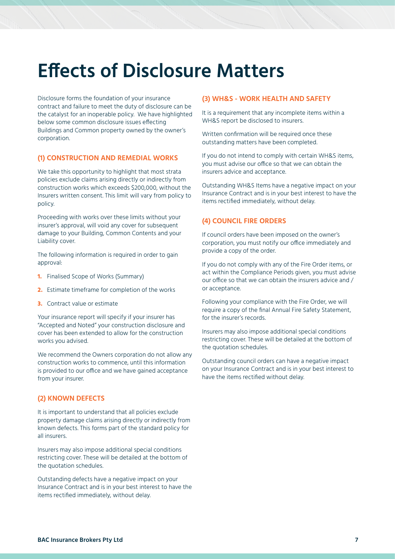### **Effects of Disclosure Matters**

Disclosure forms the foundation of your insurance contract and failure to meet the duty of disclosure can be the catalyst for an inoperable policy. We have highlighted below some common disclosure issues effecting Buildings and Common property owned by the owner's corporation.

### **(1) CONSTRUCTION AND REMEDIAL WORKS**

We take this opportunity to highlight that most strata policies exclude claims arising directly or indirectly from construction works which exceeds \$200,000, without the Insurers written consent. This limit will vary from policy to policy.

Proceeding with works over these limits without your insurer's approval, will void any cover for subsequent damage to your Building, Common Contents and your Liability cover.

The following information is required in order to gain approval:

- **1.** Finalised Scope of Works (Summary)
- **2.** Estimate timeframe for completion of the works
- **3.** Contract value or estimate

Your insurance report will specify if your insurer has "Accepted and Noted" your construction disclosure and cover has been extended to allow for the construction works you advised.

We recommend the Owners corporation do not allow any construction works to commence, until this information is provided to our office and we have gained acceptance from your insurer.

### **(2) KNOWN DEFECTS**

It is important to understand that all policies exclude property damage claims arising directly or indirectly from known defects. This forms part of the standard policy for all insurers.

Insurers may also impose additional special conditions restricting cover. These will be detailed at the bottom of the quotation schedules.

Outstanding defects have a negative impact on your Insurance Contract and is in your best interest to have the items rectified immediately, without delay.

#### **(3) WH&S - WORK HEALTH AND SAFETY**

It is a requirement that any incomplete items within a WH&S report be disclosed to insurers.

Written confirmation will be required once these outstanding matters have been completed.

If you do not intend to comply with certain WH&S items, you must advise our office so that we can obtain the insurers advice and acceptance.

Outstanding WH&S Items have a negative impact on your Insurance Contract and is in your best interest to have the items rectified immediately, without delay.

### **(4) COUNCIL FIRE ORDERS**

If council orders have been imposed on the owner's corporation, you must notify our office immediately and provide a copy of the order.

If you do not comply with any of the Fire Order items, or act within the Compliance Periods given, you must advise our office so that we can obtain the insurers advice and / or acceptance.

Following your compliance with the Fire Order, we will require a copy of the final Annual Fire Safety Statement, for the insurer's records.

Insurers may also impose additional special conditions restricting cover. These will be detailed at the bottom of the quotation schedules.

Outstanding council orders can have a negative impact on your Insurance Contract and is in your best interest to have the items rectified without delay.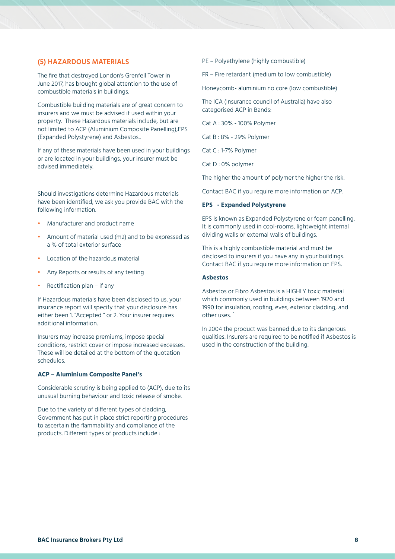### **(5) HAZARDOUS MATERIALS**

The fire that destroyed London's Grenfell Tower in June 2017, has brought global attention to the use of combustible materials in buildings.

Combustible building materials are of great concern to insurers and we must be advised if used within your property. These Hazardous materials include, but are not limited to ACP (Aluminium Composite Panelling),EPS (Expanded Polystyrene) and Asbestos..

If any of these materials have been used in your buildings or are located in your buildings, your insurer must be advised immediately.

Should investigations determine Hazardous materials have been identified, we ask you provide BAC with the following information.

- **•** Manufacturer and product name
- **•** Amount of material used (m2) and to be expressed as a % of total exterior surface
- **•** Location of the hazardous material
- **•** Any Reports or results of any testing
- **•** Rectification plan if any

If Hazardous materials have been disclosed to us, your insurance report will specify that your disclosure has either been 1. "Accepted " or 2. Your insurer requires additional information.

Insurers may increase premiums, impose special conditions, restrict cover or impose increased excesses. These will be detailed at the bottom of the quotation schedules.

### **ACP – Aluminium Composite Panel's**

Considerable scrutiny is being applied to (ACP), due to its unusual burning behaviour and toxic release of smoke.

Due to the variety of different types of cladding, Government has put in place strict reporting procedures to ascertain the flammability and compliance of the products. Different types of products include :

PE – Polyethylene (highly combustible)

FR – Fire retardant (medium to low combustible)

Honeycomb- aluminium no core (low combustible)

The ICA (Insurance council of Australia) have also categorised ACP in Bands:

Cat A : 30% - 100% Polymer

Cat B : 8% - 29% Polymer

Cat C : 1-7% Polymer

Cat D : 0% polymer

The higher the amount of polymer the higher the risk.

Contact BAC if you require more information on ACP.

#### **EPS - Expanded Polystyrene**

EPS is known as Expanded Polystyrene or foam panelling. It is commonly used in cool-rooms, lightweight internal dividing walls or external walls of buildings.

This is a highly combustible material and must be disclosed to insurers if you have any in your buildings. Contact BAC if you require more information on EPS.

#### **Asbestos**

Asbestos or Fibro Asbestos is a HIGHLY toxic material which commonly used in buildings between 1920 and 1990 for insulation, roofing, eves, exterior cladding, and other uses. `

In 2004 the product was banned due to its dangerous qualities. Insurers are required to be notified if Asbestos is used in the construction of the building.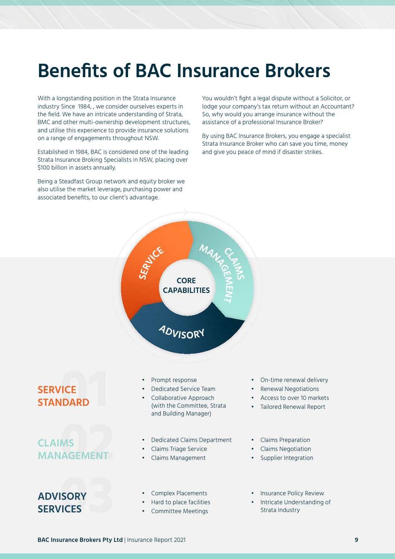## **Benefits of BAC Insurance Brokers**

With a longstanding position in the Strata Insurance industry Since 1984, , we consider ourselves experts in the field. We have an intricate understanding of Strata, BMC and other multi-ownership development structures, and utilise this experience to provide insurance solutions on a range of engagements throughout NSW.

Established in 1984, BAC is considered one of the leading Strata Insurance Broking Specialists in NSW, placing over \$100 billion in assets annually.

Being a Steadfast Group network and equity broker we also utilise the market leverage, purchasing power and associated benefits, to our client's advantage.

You wouldn't fight a legal dispute without a Solicitor, or lodge your company's tax return without an Accountant? So, why would you arrange insurance without the assistance of a professional Insurance Broker?

By using BAC Insurance Brokers, you engage a specialist Strata Insurance Broker who can save you time, money and give you peace of mind if disaster strikes.



### **SERVICE STANDARD**

### **CLAIMS MANAGEMENT**

### **ADVISORY SERVICES**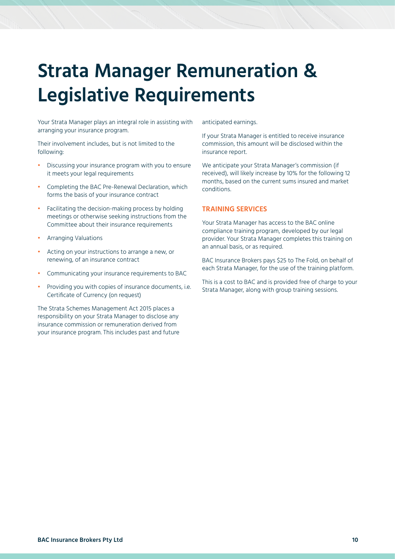# **Strata Manager Remuneration & Legislative Requirements**

Your Strata Manager plays an integral role in assisting with arranging your insurance program.

Their involvement includes, but is not limited to the following:

- **•** Discussing your insurance program with you to ensure it meets your legal requirements
- **•** Completing the BAC Pre-Renewal Declaration, which forms the basis of your insurance contract
- **•** Facilitating the decision-making process by holding meetings or otherwise seeking instructions from the Committee about their insurance requirements
- **•** Arranging Valuations
- **•** Acting on your instructions to arrange a new, or renewing, of an insurance contract
- **•** Communicating your insurance requirements to BAC
- **•** Providing you with copies of insurance documents, i.e. Certificate of Currency (on request)

The Strata Schemes Management Act 2015 places a responsibility on your Strata Manager to disclose any insurance commission or remuneration derived from your insurance program. This includes past and future anticipated earnings.

If your Strata Manager is entitled to receive insurance commission, this amount will be disclosed within the insurance report.

We anticipate your Strata Manager's commission (if received), will likely increase by 10% for the following 12 months, based on the current sums insured and market conditions.

### **TRAINING SERVICES**

Your Strata Manager has access to the BAC online compliance training program, developed by our legal provider. Your Strata Manager completes this training on an annual basis, or as required.

BAC Insurance Brokers pays \$25 to The Fold, on behalf of each Strata Manager, for the use of the training platform.

This is a cost to BAC and is provided free of charge to your Strata Manager, along with group training sessions.